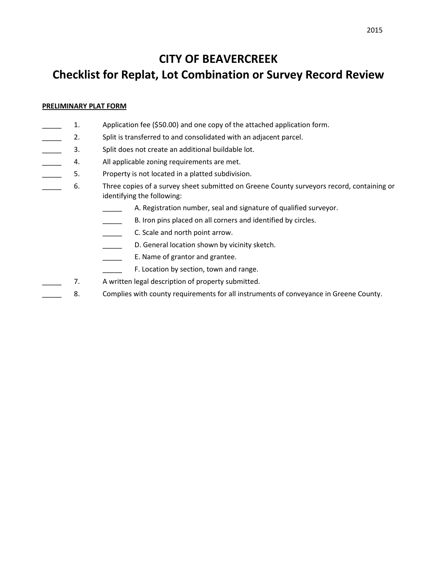## **CITY OF BEAVERCREEK Checklist for Replat, Lot Combination or Survey Record Review**

## **PRELIMINARY PLAT FORM**

- \_\_\_\_\_ 1. Application fee (\$50.00) and one copy of the attached application form.
- **2.** Split is transferred to and consolidated with an adjacent parcel.
- 3. Split does not create an additional buildable lot.
- 4. All applicable zoning requirements are met.
- **EXECUTE:** 5. Property is not located in a platted subdivision.
- \_\_\_\_\_ 6. Three copies of a survey sheet submitted on Greene County surveyors record, containing or identifying the following:
	- A. Registration number, seal and signature of qualified surveyor.
	- **EXECTED B.** Iron pins placed on all corners and identified by circles.
	- **\_\_\_\_\_** C. Scale and north point arrow.
	- D. General location shown by vicinity sketch.
	- **E.** Name of grantor and grantee.
		- F. Location by section, town and range.
- 7. A written legal description of property submitted.
- 8. Complies with county requirements for all instruments of conveyance in Greene County.